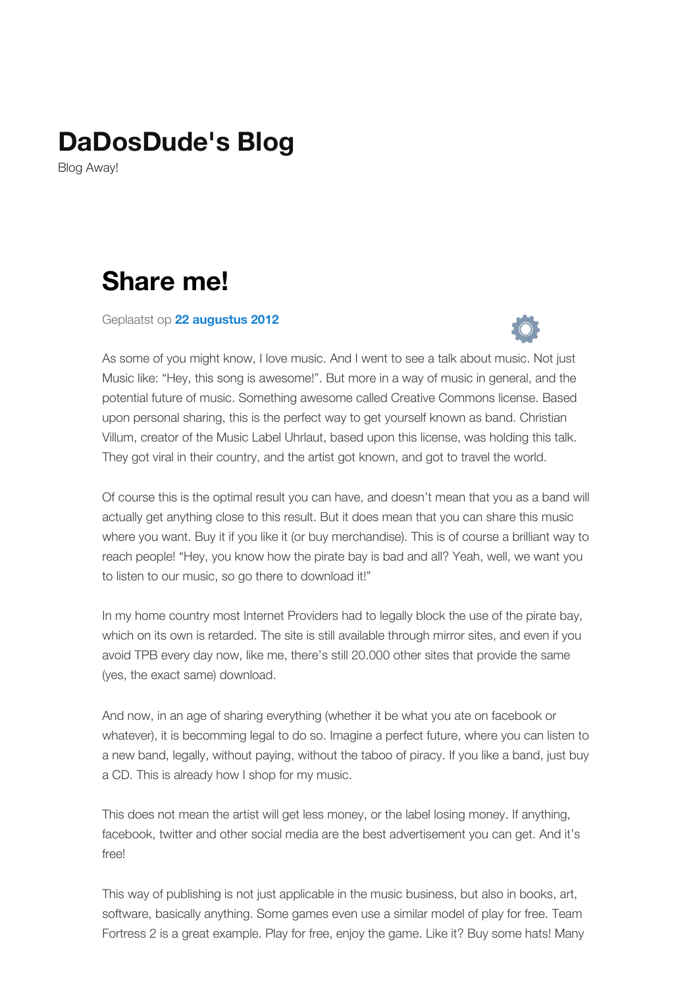## **[DaDosDude's](http://www.dadosdude.nl/) Blog**

Blog Away!

## **Share me!**

Geplaatst op **22 [augustus](http://www.dadosdude.nl/?p=18) 2012**



As some of you might know, I love music. And I went to see a talk about music. Not just Music like: "Hey, this song is awesome!". But more in a way of music in general, and the potential future of music. Something awesome called Creative Commons license. Based upon personal sharing, this is the perfect way to get yourself known as band. Christian Villum, creator of the Music Label Uhrlaut, based upon this license, was holding this talk. They got viral in their country, and the artist got known, and got to travel the world.

Of course this is the optimal result you can have, and doesn't mean that you as a band will actually get anything close to this result. But it does mean that you can share this music where you want. Buy it if you like it (or buy merchandise). This is of course a brilliant way to reach people! "Hey, you know how the pirate bay is bad and all? Yeah, well, we want you to listen to our music, so go there to download it!"

In my home country most Internet Providers had to legally block the use of the pirate bay, which on its own is retarded. The site is still available through mirror sites, and even if you avoid TPB every day now, like me, there's still 20.000 other sites that provide the same (yes, the exact same) download.

And now, in an age of sharing everything (whether it be what you ate on facebook or whatever), it is becomming legal to do so. Imagine a perfect future, where you can listen to a new band, legally, without paying, without the taboo of piracy. If you like a band, just buy a CD. This is already how I shop for my music.

This does not mean the artist will get less money, or the label losing money. If anything, facebook, twitter and other social media are the best advertisement you can get. And it's free!

This way of publishing is not just applicable in the music business, but also in books, art, software, basically anything. Some games even use a similar model of play for free. Team Fortress 2 is a great example. Play for free, enjoy the game. Like it? Buy some hats! Many